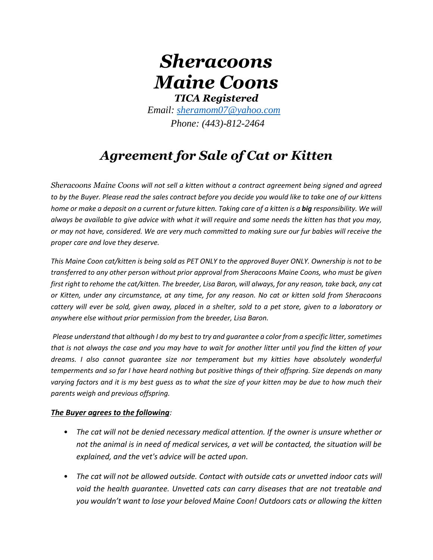# *Sheracoons Maine Coons TICA Registered*

*Email: [sheramom07@yahoo.com](mailto:sheramom07@yahoo.com)*

*Phone: (443)-812-2464*

## *Agreement for Sale of Cat or Kitten*

*Sheracoons Maine Coons will not sell a kitten without a contract agreement being signed and agreed to by the Buyer. Please read the sales contract before you decide you would like to take one of our kittens home or make a deposit on a current or future kitten. Taking care of a kitten is a big responsibility. We will always be available to give advice with what it will require and some needs the kitten has that you may, or may not have, considered. We are very much committed to making sure our fur babies will receive the proper care and love they deserve.*

*This Maine Coon cat/kitten is being sold as PET ONLY to the approved Buyer ONLY. Ownership is not to be transferred to any other person without prior approval from Sheracoons Maine Coons, who must be given first right to rehome the cat/kitten. The breeder, Lisa Baron, will always, for any reason, take back, any cat or Kitten, under any circumstance, at any time, for any reason. No cat or kitten sold from Sheracoons cattery will ever be sold, given away, placed in a shelter, sold to a pet store, given to a laboratory or anywhere else without prior permission from the breeder, Lisa Baron.* 

*Please understand that although I do my best to try and guarantee a color from a specific litter, sometimes that is not always the case and you may have to wait for another litter until you find the kitten of your dreams. I also cannot guarantee size nor temperament but my kitties have absolutely wonderful temperments and so far I have heard nothing but positive things of their offspring. Size depends on many varying factors and it is my best guess as to what the size of your kitten may be due to how much their parents weigh and previous offspring.* 

#### *The Buyer agrees to the following:*

- *The cat will not be denied necessary medical attention. If the owner is unsure whether or not the animal is in need of medical services, a vet will be contacted, the situation will be explained, and the vet's advice will be acted upon.*
- The cat will not be allowed outside. Contact with outside cats or unvetted indoor cats will void the health guarantee. Unvetted cats can carry diseases that are not treatable and *you wouldn't want to lose your beloved Maine Coon! Outdoors cats or allowing the kitten*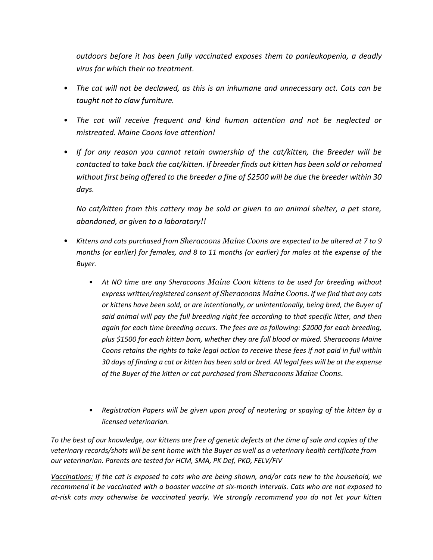*outdoors before it has been fully vaccinated exposes them to panleukopenia, a deadly virus for which their no treatment.* 

- *The cat will not be declawed, as this is an inhumane and unnecessary act. Cats can be taught not to claw furniture.*
- *The cat will receive frequent and kind human attention and not be neglected or mistreated. Maine Coons love attention!*
- *If for any reason you cannot retain ownership of the cat/kitten, the Breeder will be contacted to take back the cat/kitten. If breeder finds out kitten has been sold or rehomed without first being offered to the breeder a fine of \$2500 will be due the breeder within 30 days.*

*No cat/kitten from this cattery may be sold or given to an animal shelter, a pet store, abandoned, or given to a laboratory!!*

- *Kittens and cats purchased from Sheracoons Maine Coons are expected to be altered at 7 to 9 months (or earlier) for females, and 8 to 11 months (or earlier) for males at the expense of the Buyer.*
	- *At NO time are any Sheracoons Maine Coon kittens to be used for breeding without express written/registered consent of Sheracoons Maine Coons. If we find that any cats or kittens have been sold, or are intentionally, or unintentionally, being bred, the Buyer of said animal will pay the full breeding right fee according to that specific litter, and then again for each time breeding occurs. The fees are as following: \$2000 for each breeding, plus \$1500 for each kitten born, whether they are full blood or mixed. Sheracoons Maine Coons retains the rights to take legal action to receive these fees if not paid in full within 30 days of finding a cat or kitten has been sold or bred. All legal fees will be at the expense of the Buyer of the kitten or cat purchased from Sheracoons Maine Coons.*
	- *Registration Papers will be given upon proof of neutering or spaying of the kitten by a licensed veterinarian.*

*To the best of our knowledge, our kittens are free of genetic defects at the time of sale and copies of the veterinary records/shots will be sent home with the Buyer as well as a veterinary health certificate from our veterinarian. Parents are tested for HCM, SMA, PK Def, PKD, FELV/FIV*

*Vaccinations: If the cat is exposed to cats who are being shown, and/or cats new to the household, we recommend it be vaccinated with a booster vaccine at six-month intervals. Cats who are not exposed to at-risk cats may otherwise be vaccinated yearly. We strongly recommend you do not let your kitten*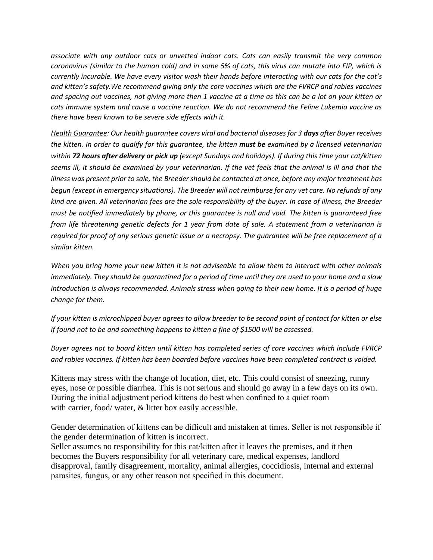*associate with any outdoor cats or unvetted indoor cats. Cats can easily transmit the very common coronavirus (similar to the human cold) and in some 5% of cats, this virus can mutate into FIP, which is currently incurable. We have every visitor wash their hands before interacting with our cats for the cat's and kitten's safety.We recommend giving only the core vaccines which are the FVRCP and rabies vaccines and spacing out vaccines, not giving more then 1 vaccine at a time as this can be a lot on your kitten or cats immune system and cause a vaccine reaction. We do not recommend the Feline Lukemia vaccine as there have been known to be severe side effects with it.*

*Health Guarantee: Our health guarantee covers viral and bacterial diseases for 3 days after Buyer receives the kitten. In order to qualify for this guarantee, the kitten must be examined by a licensed veterinarian within 72 hours after delivery or pick up (except Sundays and holidays). If during this time your cat/kitten seems ill, it should be examined by your veterinarian. If the vet feels that the animal is ill and that the illness was present prior to sale, the Breeder should be contacted at once, before any major treatment has begun (except in emergency situations). The Breeder will not reimburse for any vet care. No refunds of any kind are given. All veterinarian fees are the sole responsibility of the buyer. In case of illness, the Breeder must be notified immediately by phone, or this guarantee is null and void. The kitten is guaranteed free from life threatening genetic defects for 1 year from date of sale. A statement from a veterinarian is required for proof of any serious genetic issue or a necropsy. The guarantee will be free replacement of a similar kitten.*

*When you bring home your new kitten it is not adviseable to allow them to interact with other animals immediately. They should be quarantined for a period of time until they are used to your home and a slow introduction is always recommended. Animals stress when going to their new home. It is a period of huge change for them.* 

*If your kitten is microchipped buyer agrees to allow breeder to be second point of contact for kitten or else if found not to be and something happens to kitten a fine of \$1500 will be assessed.* 

*Buyer agrees not to board kitten until kitten has completed series of core vaccines which include FVRCP and rabies vaccines. If kitten has been boarded before vaccines have been completed contract is voided.* 

Kittens may stress with the change of location, diet, etc. This could consist of sneezing, runny eyes, nose or possible diarrhea. This is not serious and should go away in a few days on its own. During the initial adjustment period kittens do best when confined to a quiet room with carrier, food/ water, & litter box easily accessible.

Gender determination of kittens can be difficult and mistaken at times. Seller is not responsible if the gender determination of kitten is incorrect.

Seller assumes no responsibility for this cat/kitten after it leaves the premises, and it then becomes the Buyers responsibility for all veterinary care, medical expenses, landlord disapproval, family disagreement, mortality, animal allergies, coccidiosis, internal and external parasites, fungus, or any other reason not specified in this document.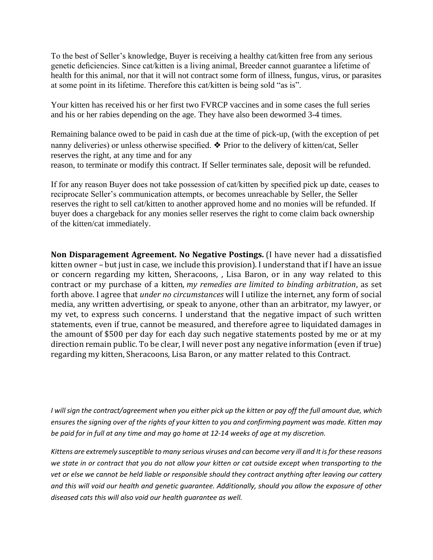To the best of Seller's knowledge, Buyer is receiving a healthy cat/kitten free from any serious genetic deficiencies. Since cat/kitten is a living animal, Breeder cannot guarantee a lifetime of health for this animal, nor that it will not contract some form of illness, fungus, virus, or parasites at some point in its lifetime. Therefore this cat/kitten is being sold "as is".

Your kitten has received his or her first two FVRCP vaccines and in some cases the full series and his or her rabies depending on the age. They have also been dewormed 3-4 times.

Remaining balance owed to be paid in cash due at the time of pick-up, (with the exception of pet nanny deliveries) or unless otherwise specified. ❖ Prior to the delivery of kitten/cat, Seller reserves the right, at any time and for any reason, to terminate or modify this contract. If Seller terminates sale, deposit will be refunded.

If for any reason Buyer does not take possession of cat/kitten by specified pick up date, ceases to reciprocate Seller's communication attempts, or becomes unreachable by Seller, the Seller reserves the right to sell cat/kitten to another approved home and no monies will be refunded. If buyer does a chargeback for any monies seller reserves the right to come claim back ownership of the kitten/cat immediately.

**Non Disparagement Agreement. No Negative Postings.** (I have never had a dissatisfied kitten owner – but just in case, we include this provision). I understand that if I have an issue or concern regarding my kitten, Sheracoons, , Lisa Baron, or in any way related to this contract or my purchase of a kitten, *my remedies are limited to binding arbitration*, as set forth above. I agree that *under no circumstances* will I utilize the internet, any form of social media, any written advertising, or speak to anyone, other than an arbitrator, my lawyer, or my vet, to express such concerns. I understand that the negative impact of such written statements, even if true, cannot be measured, and therefore agree to liquidated damages in the amount of \$500 per day for each day such negative statements posted by me or at my direction remain public. To be clear, I will never post any negative information (even if true) regarding my kitten, Sheracoons, Lisa Baron, or any matter related to this Contract.

*I will sign the contract/agreement when you either pick up the kitten or pay off the full amount due, which ensures the signing over of the rights of your kitten to you and confirming payment was made. Kitten may be paid for in full at any time and may go home at 12-14 weeks of age at my discretion.*

*Kittens are extremely susceptible to many serious viruses and can become very ill and It is for these reasons we state in or contract that you do not allow your kitten or cat outside except when transporting to the vet or else we cannot be held liable or responsible should they contract anything after leaving our cattery and this will void our health and genetic guarantee. Additionally, should you allow the exposure of other diseased cats this will also void our health guarantee as well.*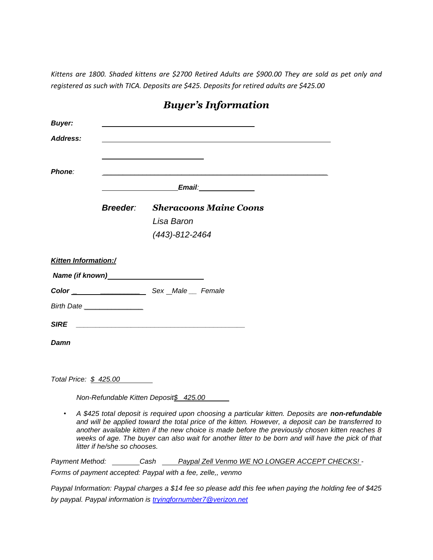*Kittens are 1800. Shaded kittens are \$2700 Retired Adults are \$900.00 They are sold as pet only and registered as such with TICA. Deposits are \$425. Deposits for retired adults are \$425.00*

| <b>Buyer:</b>               |                                                                                                                       |                |                                                                                                                                                                                                                                                                                                                                                                                                                  |  |
|-----------------------------|-----------------------------------------------------------------------------------------------------------------------|----------------|------------------------------------------------------------------------------------------------------------------------------------------------------------------------------------------------------------------------------------------------------------------------------------------------------------------------------------------------------------------------------------------------------------------|--|
| <b>Address:</b>             |                                                                                                                       |                |                                                                                                                                                                                                                                                                                                                                                                                                                  |  |
|                             |                                                                                                                       |                |                                                                                                                                                                                                                                                                                                                                                                                                                  |  |
| <b>Phone:</b>               |                                                                                                                       |                |                                                                                                                                                                                                                                                                                                                                                                                                                  |  |
|                             |                                                                                                                       |                | Email: Email:                                                                                                                                                                                                                                                                                                                                                                                                    |  |
|                             | <b>Breeder:</b>                                                                                                       |                | <b>Sheracoons Maine Coons</b>                                                                                                                                                                                                                                                                                                                                                                                    |  |
|                             |                                                                                                                       | Lisa Baron     |                                                                                                                                                                                                                                                                                                                                                                                                                  |  |
|                             |                                                                                                                       | (443)-812-2464 |                                                                                                                                                                                                                                                                                                                                                                                                                  |  |
| <b>Kitten Information:/</b> |                                                                                                                       |                |                                                                                                                                                                                                                                                                                                                                                                                                                  |  |
|                             |                                                                                                                       |                |                                                                                                                                                                                                                                                                                                                                                                                                                  |  |
|                             |                                                                                                                       |                |                                                                                                                                                                                                                                                                                                                                                                                                                  |  |
|                             | Birth Date                                                                                                            |                |                                                                                                                                                                                                                                                                                                                                                                                                                  |  |
| <b>SIRE</b>                 | <u> 1980 - Johann John Stone, mars and de film and de film and de film and de film and de film and de film and de</u> |                |                                                                                                                                                                                                                                                                                                                                                                                                                  |  |
| Damn                        |                                                                                                                       |                |                                                                                                                                                                                                                                                                                                                                                                                                                  |  |
|                             |                                                                                                                       |                |                                                                                                                                                                                                                                                                                                                                                                                                                  |  |
|                             | Total Price: \$425.00                                                                                                 |                |                                                                                                                                                                                                                                                                                                                                                                                                                  |  |
|                             | Non-Refundable Kitten Deposit\$ 425.00                                                                                |                |                                                                                                                                                                                                                                                                                                                                                                                                                  |  |
|                             | litter if he/she so chooses.                                                                                          |                | A \$425 total deposit is required upon choosing a particular kitten. Deposits are non-refundable<br>and will be applied toward the total price of the kitten. However, a deposit can be transferred to<br>another available kitten if the new choice is made before the previously chosen kitten reaches 8<br>weeks of age. The buyer can also wait for another litter to be born and will have the pick of that |  |
| Payment Method:             |                                                                                                                       |                | ________Cash _____Paypal Zell Venmo WE NO LONGER ACCEPT CHECKS! -                                                                                                                                                                                                                                                                                                                                                |  |
|                             | Forms of payment accepted: Paypal with a fee, zelle,, venmo                                                           |                |                                                                                                                                                                                                                                                                                                                                                                                                                  |  |

### *Buyer's Information*

*Paypal Information: Paypal charges a \$14 fee so please add this fee when paying the holding fee of \$425 by paypal. Paypal information is [tryingfornumber7@verizon.net](mailto:tryingfornumber7@verizon.net)*